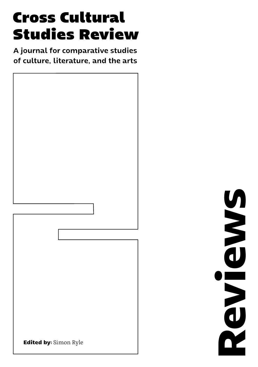# **Cross Cultural Studies Review**

A journal for comparative studies of culture, literature, and the arts



**Reviews NONDENCO**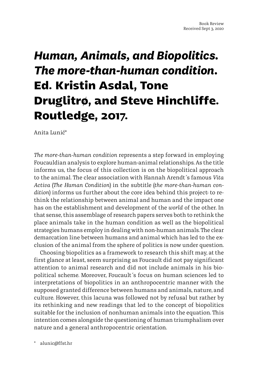## *Human, Animals, and Biopolitics. The more-than-human condition.*  **Ed. Kristin Asdal, Tone Druglitrø, and Steve Hinchliffe. Routledge, 2017.**

Anita Lunić\*

*The more-than-human condition* represents a step forward in employing Foucauldian analysis to explore human-animal relationships. As the title informs us, the focus of this collection is on the biopolitical approach to the animal. The clear association with Hannah Arendt´s famous *Vita Activa* (*The Human Condition*) in the subtitle (*the more-than-human condition*) informs us further about the core idea behind this project: to rethink the relationship between animal and human and the impact one has on the establishment and development of the *world* of the other. In that sense, this assemblage of research papers serves both to rethink the place animals take in the human condition as well as the biopolitical strategies humans employ in dealing with non-human animals. The clear demarcation line between humans and animal which has led to the exclusion of the animal from the sphere of politics is now under question.

Choosing biopolitics as a framework to research this shift may, at the first glance at least, seem surprising as Foucault did not pay significant attention to animal research and did not include animals in his biopolitical scheme. Moreover, Foucault´s focus on human sciences led to interpretations of biopolitics in an anthropocentric manner with the supposed granted difference between humans and animals, nature, and culture. However, this lacuna was followed not by refusal but rather by its rethinking and new readings that led to the concept of biopolitics suitable for the inclusion of nonhuman animals into the equation. This intention comes alongside the questioning of human triumphalism over nature and a general anthropocentric orientation.

alunic@ffst.hr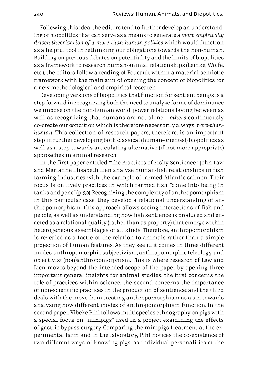Following this idea, the editors tend to further develop an understanding of biopolitics that can serve as a means to generate a *more empirically driven theorization of a-more-than-human politics* which would function as a helpful tool in rethinking our obligations towards the non-human. Building on previous debates on potentiality and the limits of biopolitics as a framework to research human-animal relationships (Lemke, Wolfe, etc.), the editors follow a reading of Foucault within a material-semiotic framework with the main aim of opening the concept of biopolitics for a new methodological and empirical research.

Developing versions of biopolitics that function for sentient beings is a step forward in recognizing both the need to analyze forms of dominance we impose on the non-human world, power relations laying between as well as recognizing that humans are not alone – *others* continuously co-create our condition which is therefore necessarily always *more-thanhuman*. This collection of research papers, therefore, is an important step in further developing both classical (human-oriented) biopolitics as well as a step towards articulating alternative (if not more appropriate) approaches in animal research.

In the first paper entitled *"*The Practices of Fishy Sentience*,"* John Law and Marianne Elisabeth Lien analyse human-fish relationships in fish farming industries with the example of farmed Atlantic salmon. Their focus is on lively practices in which farmed fish *"*come into being in tanks and pens*"* (p. 30)*.* Recognizing the complexity of anthropomorphism in this particular case, they develop a relational understanding of anthropomorphism. This approach allows seeing interactions of fish and people, as well as understanding how fish sentience is produced and enacted as a relational quality (rather than as property) that emerge within heterogeneous assemblages of all kinds. Therefore, anthropomorphism is revealed as a tactic of the relation to animals rather than a simple projection of human features. As they see it, it comes in three different modes: anthropomorphic subjectivism, anthropomorphic teleology, and objectivist (non)anthropomorphism. This is where research of Law and Lien moves beyond the intended scope of the paper by opening three important general insights for animal studies: the first concerns the role of practices within science, the second concerns the importance of non-scientific practices in the production of sentience; and the third deals with the move from treating anthropomorphism as a sin towards analysing how different modes of anthropomorphism function. In the second paper, Vibeke Pihl follows multispecies ethnography on pigs with a special focus on *"*minipigs*"* used in a project examining the effects of gastric bypass surgery. Comparing the minipigs treatment at the experimental farm and in the laboratory, Pihl notices the co-existence of two different ways of knowing pigs: as individual personalities at the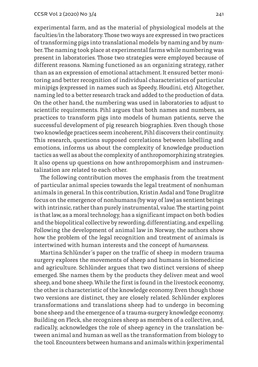experimental farm, and as the material of physiological models at the faculties/in the laboratory. Those two ways are expressed in two practices of transforming pigs into translational models: by naming and by number. The naming took place at experimental farms while numbering was present in laboratories. Those two strategies were employed because of different reasons. Naming functioned as an organizing strategy, rather than as an expression of emotional attachment. It ensured better monitoring and better recognition of individual characteristics of particular minipigs (expressed in names such as Speedy, Houdini, etc). Altogether, naming led to a better research track and added to the production of data. On the other hand, the numbering was used in laboratories to adjust to scientific requirements. Pihl argues that both names and numbers, as practices to transform pigs into models of human patients, serve the successful development of pig research biographies. Even though those two knowledge practices seem incoherent, Pihl discovers their continuity. This research, questions supposed correlations between labelling and emotions, informs us about the complexity of knowledge production tactics as well as about the complexity of anthropomorphizing strategies. It also opens up questions on how anthropomorphism and instrumentalization are related to each other.

The following contribution moves the emphasis from the treatment of particular animal species towards the legal treatment of nonhuman animals in general. In this contribution, Kristin Asdal and Tone Druglitrø focus on the emergence of nonhumans (by way of law) as sentient beings with intrinsic, rather than purely instrumental, value. The starting point is that law, as a moral technology, has a significant impact on both bodies and the biopolitical collective by rewording, differentiating, and expelling. Following the development of animal law in Norway, the authors show how the problem of the legal recognition and treatment of animals is intertwined with human interests and the concept of *humanness*.

Martina Schlünder´s paper on the traffic of sheep in modern trauma surgery explores the movements of sheep and humans in biomedicine and agriculture. Schlünder argues that two distinct versions of sheep emerged. She names them by the products they deliver: meat and wool sheep, and bone sheep. While the first is found in the livestock economy, the other is characteristic of the knowledge economy. Even though those two versions are distinct, they are closely related. Schlünder explores transformations and translations sheep had to undergo in becoming bone sheep and the emergence of a trauma-surgery knowledge economy. Building on Fleck, she recognizes sheep as members of a collective, and, radically, acknowledges the role of sheep agency in the translation between animal and human as well as the transformation from biology to the tool. Encounters between humans and animals within (experimental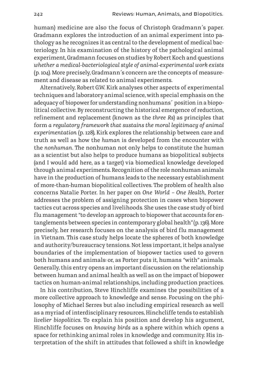human) medicine are also the focus of Christoph Gradmann´s paper. Gradmann explores the introduction of an animal experiment into pathology as he recognizes it as central to the development of medical bacteriology. In his examination of the history of the pathological animal experiment, Gradmann focuses on studies by Robert Koch and questions *whether a medical-bacteriological style of animal-experimental work exists*  (p. 104). More precisely, Gradmann´s concern are the concepts of measurement and disease as related to animal experiments.

Alternatively, Robert G.W. Kirk analyses other aspects of experimental techniques and laboratory animal science, with special emphasis on the adequacy of biopower for understanding nonhumans´ position in a biopolitical collective. By reconstructing the historical emergence of reduction, refinement and replacement (known as the *three Rs*) as principles that form *a regulatory framework that sustains the moral legitimacy of animal experimentation* (p. 128), Kirk explores the relationship between care and truth as well as how the *human* is developed from the encounter with the *nonhuman.* The nonhuman not only helps to constitute the human as a scientist but also helps to produce humans as biopolitical subjects (and I would add here, as a target) via biomedical knowledge developed through animal experiments. Recognition of the role nonhuman animals have in the production of humans leads to the necessary establishment of more-than-human biopolitical collectives. The problem of health also concerns Natalie Porter. In her paper on *One World – One Health,* Porter addresses the problem of assigning protection in cases when biopower tactics cut across species and livelihoods. She uses the case study of bird flu management *"*to develop an approach to biopower that accounts for entanglements between species in contemporary global health*"* (p. 136). More precisely, her research focuses on the analysis of bird flu management in Vietnam. This case study helps locate the spheres of both knowledge and authority/bureaucracy tensions. Not less important, it helps analyse boundaries of the implementation of biopower tactics used to govern both humans and animals: or, as Porter puts it, humans *"*with*"* animals. Generally, this entry opens an important discussion on the relationship between human and animal health as well as on the impact of biopower tactics on human-animal relationships, including production practices.

In his contribution, Steve Hinchliffe examines the possibilities of a more collective approach to knowledge and sense. Focusing on the philosophy of Michael Serres but also including empirical research as well as a myriad of interdisciplinary resources, Hinchcliffe tends to establish *livelier biopolitics*. To explain his position and develop his argument, Hinchliffe focuses on *knowing birds* as a sphere within which opens a space for rethinking animal roles in knowledge and community. His interpretation of the shift in attitudes that followed a shift in knowledge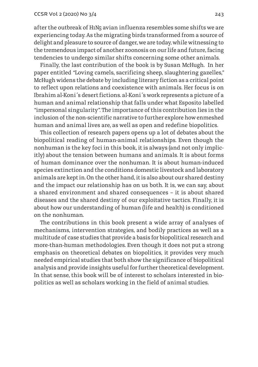after the outbreak of H1N5 avian influenza resembles some shifts we are experiencing today. As the migrating birds transformed from a source of delight and pleasure to source of danger, we are today, while witnessing to the tremendous impact of another zoonosis on our life and future, facing tendencies to undergo similar shifts concerning some other animals.

Finally, the last contribution of the book is by Susan McHugh. In her paper entitled *"*Loving camels, sacrificing sheep, slaughtering gazelles,*"*  McHugh widens the debate by including literary fiction as a critical point to reflect upon relations and coexistence with animals. Her focus is on Ibrahim al-Koni´s desert fictions. al-Koni´s work represents a picture of a human and animal relationship that falls under what Esposito labelled *"*impersonal singularity*"*. The importance of this contribution lies in the inclusion of the non-scientific narrative to further explore how enmeshed human and animal lives are, as well as open and redefine biopolitics.

This collection of research papers opens up a lot of debates about the biopolitical reading of human-animal relationships. Even though the nonhuman is the key foci in this book, it is always (and not only implicitly) about the tension between humans and animals. It is about forms of human dominance over the nonhuman. It is about human-induced species extinction and the conditions domestic livestock and laboratory animals are kept in. On the other hand, it is also about our shared destiny and the impact our relationship has on us both. It is, we can say, about a shared environment and shared consequences – it is about shared diseases and the shared destiny of our exploitative tactics. Finally, it is about how our understanding of human (life and health) is conditioned on the nonhuman.

The contributions in this book present a wide array of analyses of mechanisms, intervention strategies, and bodily practices as well as a multitude of case studies that provide a basis for biopolitical research and more-than-human methodologies. Even though it does not put a strong emphasis on theoretical debates on biopolitics, it provides very much needed empirical studies that both show the significance of biopolitical analysis and provide insights useful for further theoretical development. In that sense, this book will be of interest to scholars interested in biopolitics as well as scholars working in the field of animal studies.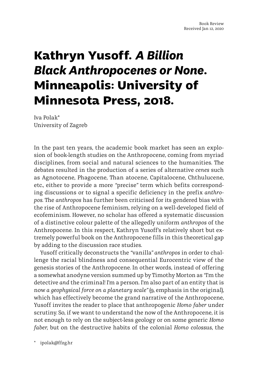### **Kathryn Yusoff.** *A Billion Black Anthropocenes or None***. Minneapolis: University of Minnesota Press, 2018.**

Iva Polak\* University of Zagreb

In the past ten years, the academic book market has seen an explosion of book-length studies on the Anthropocene, coming from myriad disciplines, from social and natural sciences to the humanities. The debates resulted in the production of a series of alternative *cenes* such as Agnotocene, Phagocene, Than atocene, Capitalocene, Chthulucene, etc., either to provide a more *"*precise*"* term which befits corresponding discussions or to signal a specific deficiency in the prefix *anthropos*. The *anthropos* has further been criticised for its gendered bias with the rise of Anthropocene feminism, relying on a well-developed field of ecofeminism. However, no scholar has offered a systematic discussion of a distinctive colour palette of the allegedly uniform *anthropos* of the Anthropocene. In this respect, Kathryn Yusoff's relatively short but extremely powerful book on the Anthropocene fills in this theoretical gap by adding to the discussion race studies.

Yusoff critically deconstructs the *"*vanilla*" anthropos* in order to challenge the racial blindness and consequential Eurocentric view of the genesis stories of the Anthropocene. In other words, instead of offering a somewhat anodyne version summed up by Timothy Morton as *"*I'm the detective *and* the criminal! I'm a person. I'm also part of an entity that is now *a geophysical force on a planetary scale"* (9, emphasis in the original), which has effectively become the grand narrative of the Anthropocene, Yusoff invites the reader to place that anthropogenic *Homo faber* under scrutiny. So, if we want to understand the now of the Anthropocene, it is not enough to rely on the subject-less geology or on some generic *Homo faber,* but on the destructive habits of the colonial *Homo colossus*, the

ipolak@ffzg.hr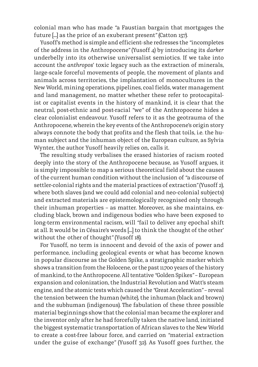colonial man who has made *"*a Faustian bargain that mortgages the future […] as the price of an exuberant present*"* (Catton 157).

Yusoff's method is simple and efficient: she redresses the *"*incompletes of the address in the Anthropocene*"* (Yusoff 4) by introducing its *darker* underbelly into its otherwise universalist semiotics. If we take into account the *anthropos*' toxic legacy such as the extraction of minerals, large-scale forceful movements of people, the movement of plants and animals across territories, the implantation of monocultures in the New World, mining operations, pipelines, coal fields, water management and land management, no matter whether these refer to protocapitalist or capitalist events in the history of mankind, it is clear that the neutral, post-ethnic and post-racial *"*we*"* of the Anthropocene hides a clear colonialist endeavour. Yusoff refers to it as the geotrauma of the Anthropocene, wherein the key events of the Anthropocene's origin story always connote the body that profits and the flesh that toils, i.e. the human subject and the inhuman object of the European culture, as Sylvia Wynter, the author Yusoff heavily relies on, calls it.

The resulting study verbalises the erased histories of racism rooted deeply into the story of the Anthropocene because, as Yusoff argues, it is simply impossible to map a serious theoretical field about the causes of the current human condition without the inclusion of *"*a discourse of settler-colonial rights and the material practices of extraction*"* (Yusoff 2), where both slaves (and we could add colonial and neo-colonial subjects) and extracted materials are epistemologically recognised only through their inhuman properties – as matter. Moreover, as she maintains, excluding black, brown and indigenous bodies who have been exposed to long-term environmental racism, will *"*fail to deliver any epochal shift at all. It would be in Césaire's words [...] to think the thought of the other' without the other of thought" (Yusoff 18).

For Yusoff, no term is innocent and devoid of the axis of power and performance, including geological events or what has become known in popular discourse as the Golden Spike, a stratigraphic marker which shows a transition from the Holocene, or the past 11,700 years of the history of mankind, to the Anthropocene. All tentative *"*Golden Spikes*"* – European expansion and colonization, the Industrial Revolution and Watt's steam engine, and the atomic tests which caused the *"*Great Acceleration*"* – reveal the tension between the human (white), the inhuman (black and brown) and the subhuman (indigenous). The fabulation of these three possible material beginnings show that the colonial man became the explorer and the inventor only after he had forcefully taken the native land, initiated the biggest systematic transportation of African slaves to the New World to create a cost-free labour force, and carried on *"*material extraction under the guise of exchange*"* (Yusoff 32). As Yusoff goes further, the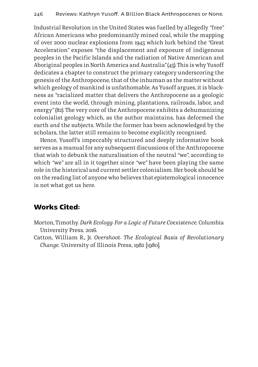Industrial Revolution in the United States was fuelled by allegedly *"*free*"* African Americans who predominantly mined coal, while the mapping of over 2000 nuclear explosions from 1945 which lurk behind the *"*Great Acceleration*"* exposes *"*the displacement and exposure of indigenous peoples in the Pacific Islands and the radiation of Native American and Aboriginal peoples in North America and Australia*"* (45). This is why Yusoff dedicates a chapter to construct the primary category underscoring the genesis of the Anthropocene, that of the inhuman as the matter without which geology of mankind is unfathomable. As Yusoff argues, it is blackness as *"*racialized matter that delivers the Anthropocene as a geologic event into the world, through mining, plantations, railroads, labor, and energy*"* (82). The very core of the Anthropocene exhibits a dehumanizing colonialist geology which, as the author maintains, has deformed the earth *and* the subjects. While the former has been acknowledged by the scholars, the latter still remains to become explicitly recognised.

Hence, Yusoff's impeccably structured and deeply informative book serves as a manual for any subsequent discussions of the Anthropocene that wish to debunk the naturalisation of the neutral *"*we*"*, according to which *"*we*"* are all in it together since *"*we*"* have been playing the same role in the historical and current settler colonialism. Her book should be on the reading list of anyone who believes that epistemological innocence is not what got us here.

#### **Works Cited:**

- Morton, Timothy. *Dark Ecology*: *For a Logic of Future Coexistence.* Columbia University Press, 2016.
- Catton, William R., Jr. *Overshoot: The Ecological Basis of Revolutionary Change.* University of Illinois Press, 1982 [1980].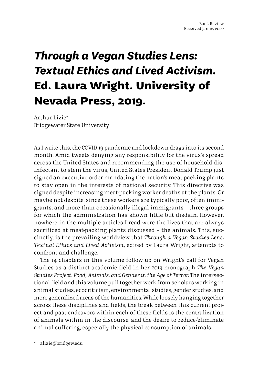### *Through a Vegan Studies Lens: Textual Ethics and Lived Activism.*  **Ed. Laura Wright. University of Nevada Press, 2019.**

Arthur Lizie\* Bridgewater State University

As I write this, the COVID-19 pandemic and lockdown drags into its second month. Amid tweets denying any responsibility for the virus's spread across the United States and recommending the use of household disinfectant to stem the virus, United States President Donald Trump just signed an executive order mandating the nation's meat packing plants to stay open in the interests of national security. This directive was signed despite increasing meat-packing worker deaths at the plants. Or maybe not despite, since these workers are typically poor, often immigrants, and more than occasionally illegal immigrants – three groups for which the administration has shown little but disdain. However, nowhere in the multiple articles I read were the lives that are always sacrificed at meat-packing plants discussed – the animals. This, succinctly, is the prevailing worldview that *Through a Vegan Studies Lens: Textual Ethics and Lived Activism*, edited by Laura Wright, attempts to confront and challenge.

The 14 chapters in this volume follow up on Wright's call for Vegan Studies as a distinct academic field in her 2015 monograph *The Vegan Studies Project: Food, Animals, and Gender in the Age of Terror*. The intersectional field and this volume pull together work from scholars working in animal studies, ecocriticism, environmental studies, gender studies, and more generalized areas of the humanities. While loosely hanging together across these disciplines and fields, the break between this current project and past endeavors within each of these fields is the centralization of animals within in the discourse, and the desire to reduce/eliminate animal suffering, especially the physical consumption of animals.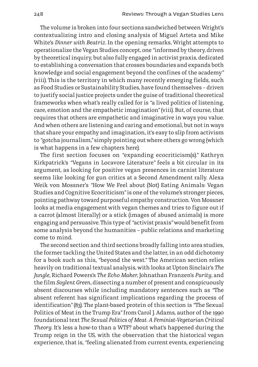The volume is broken into four sections sandwiched between Wright's contextualizing intro and closing analysis of Miguel Arteta and Mike White's *Dinner with Beatriz*. In the opening remarks, Wright attempts to operationalize the Vegan Studies concept, one *"*informed by theory, driven by theoretical inquiry, but also fully engaged in activist praxis, dedicated to establishing a conversation that crosses boundaries and expands both knowledge and social engagement beyond the confines of the academy*"* (viii). This is the territory in which many recently emerging fields, such as Food Studies or Sustainability Studies, have found themselves – driven to justify social justice projects under the guise of traditional theoretical frameworks when what's really called for is *"*a lived politics of listening, care, emotion and the empathetic imagination*"* (viii). But, of course, that requires that others are empathetic and imaginative in ways you value. And when others are listening and caring and emotional, but not in ways that share your empathy and imagination, it's easy to slip from activism to *"*gotcha journalism,*"* simply pointing out where others go wrong (which is what happens in a few chapters here).

The first section focuses on *"*expanding ecocriticism(s).*"* Kathryn Kirkpatrick's *"*Vegans in Locavore Literature*"* feels a bit circular in its argument, as looking for positive vegan presences in carnist literature seems like looking for gun critics at a Second Amendment rally. Alexa Weik von Mossner's *"*How We Feel about (Not) Eating Animals: Vegan Studies and Cognitive Ecocriticism*"* is one of the volume's stronger pieces, pointing pathway toward purposeful empathy construction. Von Mossner looks at media engagement with vegan themes and tries to figure out if a carrot (almost literally) or a stick (images of abused animals) is more engaging and persuasive. This type of *"*activist praxis*"* would benefit from some analysis beyond the humanities – public relations and marketing come to mind.

The second section and third sections broadly falling into area studies, the former tackling the United States and the latter, in an odd dichotomy for a book such as this, *"*beyond the west.*"* The American section relies heavily on traditional textual analysis, with looks at Upton Sinclair's *The Jungle*, Richard Powers's *The Echo Maker*, Johnathan Franzen's *Purity*, and the film *Soylent Green*, dissecting a number of present and conspicuously absent discourses while including mandatory sentences such as *"*The absent referent has significant implications regarding the process of identification*"* (83). The plant-based protein of this section is *"*The Sexual Politics of Meat in the Trump Era*"* from Carol J. Adams, author of the 1990 foundational text *The Sexual Politics of Meat: A Feminist-Vegetarian Critical Theory*. It's less a how-to than a WTF? about what's happened during the Trump reign in the US, with the observation that the historical vegan experience, that is, *"*feeling alienated from current events, experiencing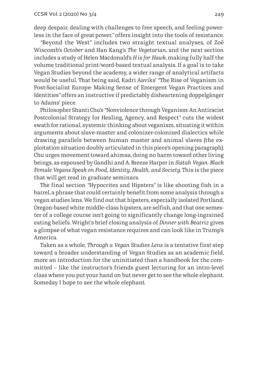deep despair, dealing with challenges to free speech, and feeling powerless in the face of great power,*"* offers insight into the tools of resistance.

*"*Beyond the West*"* includes two straight textual analyses, of Zoë Wiscomb's *October* and Han Kang's *The Vegetarian*, and the next section includes a study of Helen Macdonald's *H is for Hawk*, making fully half the volume traditional print/word-based textual analysis. If a goal is to take Vegan Studies beyond the academy, a wider range of analytical artifacts would be useful. That being said, Kadri Aaviks' *"*The Rise of Veganism in Post-Socialist Europe: Making Sense of Emergent Vegan Practices and Identities*"* offers an instructive if predictably disheartening doppelgänger to Adams' piece.

Philosopher Shanti Chu's *"*Nonviolence through Veganism: An Antiracist Postcolonial Strategy for Healing, Agency, and Respect*"* cuts the widest swath for rational, systemic thinking about veganism, situating it within arguments about slave-master and colonizer-colonized dialectics while drawing parallels between human master and animal slaves (the exploitation situation doubly articulated in this piece's opening paragraph). Chu urges movement toward ahimsa, doing no harm toward other living beings, as espoused by Gandhi and A. Breeze Harper in *Sistah Vegan: Black Female Vegans Speak on Food, Identity, Health, and Society*. This is the piece that will get read in graduate seminars.

The final section *"*Hypocrites and Hipsters*"* is like shooting fish in a barrel, a phrase that could certainly benefit from some analysis through a vegan studies lens. We find out that hipsters, especially isolated Portland, Oregon-based white middle-class hipsters, are selfish, and that one semester of a college course isn't going to significantly change long-ingrained eating beliefs. Wright's brief closing analysis of *Dinner with Beatriz* gives a glimpse of what vegan resistance requires and can look like in Trump's America.

Taken as a whole, *Through a Vegan Studies Lens* is a tentative first step toward a broader understanding of Vegan Studies as an academic field, more an introduction for the uninitiated than a handbook for the committed – like the instructor's friends guest lecturing for an intro-level class where you put your hand on but never get to see the whole elephant. Someday I hope to see the whole elephant.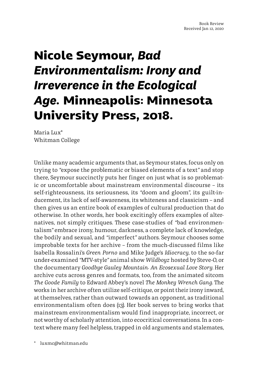## **Nicole Seymour,** *Bad Environmentalism: Irony and Irreverence in the Ecological Age***. Minneapolis: Minnesota University Press, 2018.**

Maria Lux\* Whitman College

Unlike many academic arguments that, as Seymour states, focus only on trying to *"*expose the problematic or biased elements of a text*"* and stop there, Seymour succinctly puts her finger on just what is so problematic or uncomfortable about mainstream environmental discourse – its self-righteousness, its seriousness, its *"*doom and gloom*"*, its guilt-inducement, its lack of self-awareness, its whiteness and classicism – and then gives us an entire book of examples of cultural production that do otherwise. In other words, her book excitingly offers examples of alternatives, not simply critiques. These case-studies of *"*bad environmentalism*"* embrace irony, humour, darkness, a complete lack of knowledge, the bodily and sexual, and *"*imperfect*"* authors. Seymour chooses some improbable texts for her archive – from the much-discussed films like Isabella Rossalini's *Green Porno* and Mike Judge's *Idiocracy*, to the so-far under-examined *"*MTV-style*"* animal show *Wildboyz* hosted by Steve-O, or the documentary *Goodbye Gauley Mountain: An Ecosexual Love Story*. Her archive cuts across genres and formats, too, from the animated sitcom *The Goode Family* to Edward Abbey's novel *The Monkey Wrench Gang*. The works in her archive often utilize self-critique, or point their irony inward, at themselves, rather than outward towards an opponent, as traditional environmentalism often does (13). Her book serves to bring works that mainstream environmentalism would find inappropriate, incorrect, or not worthy of scholarly attention, into ecocritical conversations. In a context where many feel helpless, trapped in old arguments and stalemates,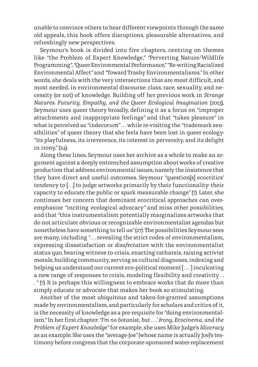unable to convince others to hear different viewpoints through the same old appeals, this book offers disruptions, pleasurable alternatives, and refreshingly new perspectives.

Seymour's book is divided into five chapters, centring on themes like *"*the Problem of Expert Knowledge,*" "*Perverting Nature/Wildlife Programming*"*, *"*Queer Environmental Performance,*""*Re-writing Racialized Environmental Affect*"* and *"*Toward Trashy Environmentalisms.*"* In other words, she deals with the very intersections that are most difficult, and most needed, in environmental discourse: class, race, sexuality, and necessity (or not) of knowledge. Building off her previous work in *Strange Natures: Futurity, Empathy, and the Queer Ecological Imagination* (2013), Seymour uses queer theory broadly, defining it as a focus on *"*improper attachments and inappropriate feelings*"* and that *"*takes pleasure*"* in what is perceived as *"*indecorum*"* . . . while re-visiting the *"*trademark sensibilities*"* of queer theory that she feels have been lost in queer ecology: *"*its playfulness, its irreverence, its interest in perversity, and its delight in irony,*"* (24).

Along these lines, Seymour uses her archive as a whole to make an argument against a deeply entrenched assumption about works of creative production that address environmental issues, namely the insistence that they have direct and useful outcomes. Seymour *"*question[s] ecocritics' tendency to [...] to judge artworks primarily by their functionality: their capacity to educate the public or spark measurable change*"* (7). Later, she continues her concern that dominant ecocritical approaches can overemphasize "inciting ecological advocacy" and miss other possibilities, and that *"*this instrumentalism potentially marginalizes artworks that do not articulate obvious or recognizable environmentalist agendas but nonetheless have something to tell us*"* (27). The possibilities Seymour sees are many, including *"*. . . revealing the strict codes of environmentalism, expressing dissatisfaction or *disafectation* with the environmentalist status quo, bearing witness to crisis, enacting catharsis, raising activist morale, building community, serving as cultural diagnoses, indexing and helping us understand our current eco-political moment [...] inculcating a new range of responses to crisis, modeling flexibility and creativity . . . *"* (7). It is perhaps this willingness to embrace works that do more than simply educate or advocate that makes her book so stimulating.

Another of the most ubiquitous and taken-for-granted assumptions made by environmentalism, and particularly for scholars and critics of it, is the necessity of knowledge as a pre-requisite for *"*doing environmentalism.*"* In her first chapter: *"I'm no botanist, but . . .' Irony, Ecocinema, and the Problem of Expert Knowledge"* for example, she uses Mike Judge's *Idiocracy* as an example. She uses the *"*average-Joe*"* (whose name is actually Joe)'s testimony before congress that the corporate-sponsored water-replacement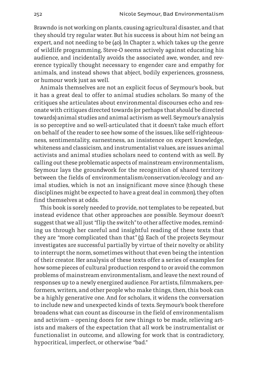Brawndo is not working on plants, causing agricultural disaster, and that they should try regular water. But his success is about him *not* being an expert, and not needing to be (40). In Chapter 2, which takes up the genre of wildlife programming, Steve-O seems actively against educating his audience, and incidentally avoids the associated awe, wonder, and reverence typically thought necessary to engender care and empathy for animals, and instead shows that abject, bodily experiences, grossness, or humour work just as well.

Animals themselves are not an explicit focus of Seymour's book, but it has a great deal to offer to animal studies scholars. So many of the critiques she articulates about environmental discourses echo and resonate with critiques directed towards (or perhaps that *should* be directed towards) animal studies and animal activism as well. Seymour's analysis is so perceptive and so well-articulated that it doesn't take much effort on behalf of the reader to see how some of the issues, like self-righteousness, sentimentality, earnestness, an insistence on expert knowledge, whiteness and classicism, and instrumentalist values, are issues animal activists and animal studies scholars need to contend with as well. By calling out these problematic aspects of mainstream environmentalism, Seymour lays the groundwork for the recognition of shared territory between the fields of environmentalism/conservation/ecology and animal studies, which is not an insignificant move since (though these disciplines might be expected to have a great deal in common), they often find themselves at odds.

This book is sorely needed to provide, not templates to be repeated, but instead evidence that other approaches are possible. Seymour doesn't suggest that we all just *"*flip the switch*"* to other affective modes, reminding us through her careful and insightful reading of these texts that they are *"*more complicated than that*"* (5). Each of the projects Seymour investigates are successful partially by virtue of their novelty or ability to interrupt the norm, sometimes without that even being the intention of their creator. Her analysis of these texts offer a series of examples for how some pieces of cultural production respond to or avoid the common problems of mainstream environmentalism, and leave the next round of responses up to a newly energized audience. For artists, filmmakers, performers, writers, and other people who make things, then, this book can be a highly generative one. And for scholars, it widens the conversation to include new and unexpected kinds of texts. Seymour's book therefore broadens what can count as discourse in the field of environmentalism and activism – opening doors for new things to be made, relieving artists and makers of the expectation that all work be instrumentalist or functionalist in outcome, and allowing for work that is contradictory, hypocritical, imperfect, or otherwise *"*bad.*"*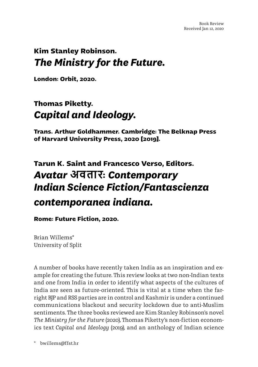#### **Kim Stanley Robinson.**  *The Ministry for the Future.*

**London: Orbit, 2020.**

#### **Thomas Piketty.**  *Capital and Ideology.*

**Trans. Arthur Goldhammer. Cambridge: The Belknap Press of Harvard University Press, 2020 [2019].**

### **Tarun K. Saint and Francesco Verso, Editors.**  *Avatar* **अवतार:** *Contemporary Indian Science Fiction/Fantascienza contemporanea indiana.*

#### **Rome: Future Fiction, 2020.**

Brian Willems\* University of Split

A number of books have recently taken India as an inspiration and example for creating the future. This review looks at two non-Indian texts and one from India in order to identify what aspects of the cultures of India are seen as future-oriented. This is vital at a time when the farright BJP and RSS parties are in control and Kashmir is under a continued communications blackout and security lockdown due to anti-Muslim sentiments. The three books reviewed are Kim Stanley Robinson's novel *The Ministry for the Future* (2020), Thomas Piketty's non-fiction economics text *Capital and Ideology* (2019), and an anthology of Indian science

\* bwillems@ffst.hr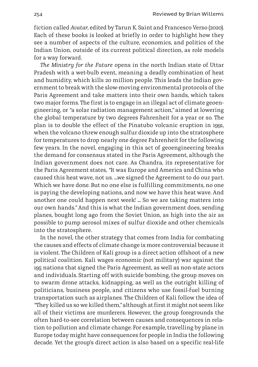fiction called *Avatar*, edited by Tarun K. Saint and Francesco Verso (2020). Each of these books is looked at briefly in order to highlight how they see a number of aspects of the culture, economics, and politics of the Indian Union, outside of its current political direction, as role models for a way forward.

*The Ministry for the Future* opens in the north Indian state of Uttar Pradesh with a wet-bulb event, meaning a deadly combination of heat and humidity, which kills 20 million people. This leads the Indian government to break with the slow-moving environmental protocols of the Paris Agreement and take matters into their own hands, which takes two major forms. The first is to engage in an illegal act of climate geoengineering, or *"*a solar radiation management action,*"* aimed at lowering the global temperature by two degrees Fahrenheit for a year or so. The plan is to double the effect of the Pinatubo volcanic eruption in 1991, when the volcano threw enough sulfur dioxide up into the stratosphere for temperatures to drop nearly one degree Fahrenheit for the following few years. In the novel, engaging in this act of geoengineering breaks the demand for consensus stated in the Paris Agreement, although the Indian government does not care. As Chandra, its representative for the Paris Agreement states, *"*It was Europe and America and China who caused this heat wave, not us. …we signed the Agreement to do our part. Which we have done. But no one else is fulfilling commitments, no one is paying the developing nations, and now we have this heat wave. And another one could happen next week! … So we are taking matters into our own hands.*"* And this is what the Indian government does, sending planes, bought long ago from the Soviet Union, as high into the air as possible to pump aerosol mixes of sulfur dioxide and other chemicals into the stratosphere.

In the novel, the other strategy that comes from India for combating the causes and effects of climate change is more controversial because it is violent. The Children of Kali group is a direct action offshoot of a new political coalition. Kali wages economic (not military) war against the 195 nations that signed the Paris Agreement, as well as non-state actors and individuals. Starting off with suicide bombing, the group moves on to swarm drone attacks, kidnapping, as well as the outright killing of politicians, business people, and citizens who use fossil-fuel burning transportation such as airplanes. The Children of Kali follow the idea of *"*They killed us so we killed them,*"* although at first it might not seem like all of their victims are murderers. However, the group foregrounds the often hard-to-see correlation between causes and consequences in relation to pollution and climate change. For example, travelling by plane in Europe today might have consequences for people in India the following decade. Yet the group's direct action is also based on a specific real-life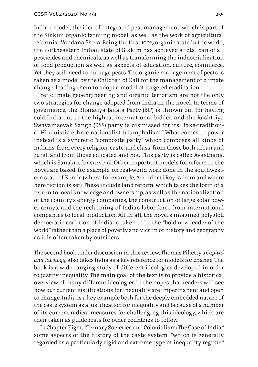Indian model, the idea of integrated pest management, which is part of the Sikkim organic farming model, as well as the work of agricultural reformist Vandana Shiva. Being the first 100% organic state in the world, the northeastern Indian state of Sikkim has achieved a total ban of all pesticides and chemicals, as well as transforming the industrialization of food production as well as aspects of education, culture, commerce. Yet they still need to manage pests. The organic management of pests is taken as a model by the Children of Kali for the management of climate change, leading them to adopt a model of targeted eradication.

Yet climate geoengineering and organic terrorism are not the only two strategies for change adopted from India in the novel. In terms of governance, the Bharatiya Janata Party (BJP) is thrown out for having sold India out to the highest international bidder, and the Rashtriya Swayamsevak Sangh (RSS) party is dismissed for its *"*fake-traditional Hinduistic ethnic-nationalist triumphalism.*"* What comes to power instead is a syncretic *"*composite party*"* which composes all kinds of Indians, from every religion, caste, and class, from those both urban and rural, and from those educated and not. This party is called Avasthana, which is Sanskrit for survival. Other important models for reform in the novel are based, for example, on real-world work done in the southwestern state of Kerala (where, for example, Arundhati Roy is from and where here fiction is set). These include land reform, which takes the form of a return to local knowledge and ownership, as well as the nationalization of the country's energy companies, the construction of large solar power arrays, and the reclaiming of India's labor force from international companies to local production. All in all, the novel's imagined polyglot, democratic coalition of India is taken to be the *"*bold new leader of the world*"* rather than a place of poverty and victim of history and geography as it is often taken by outsiders.

The second book under discussion in this review, Thomas Piketty's *Capital and Ideology*, also takes India as a key reference for models for change. The book is a wide-ranging study of different ideologies developed in order to justify inequality. The main goal of the text is to provide a historical overview of many different ideologies in the hopes that readers will see how our current justifications for inequality are impermanent and open to change. India is a key example both for the deeply embedded nature of the caste system as a justification for inequality and because of a number of its current radical measures for challenging this ideology, which are then taken as guideposts for other countries to follow.

In Chapter Eight, *"*Ternary Societies and Colonialism: The Case of India,*"* some aspects of the history of the caste system, *"*which is generally regarded as a particularly rigid and extreme type of inequality regime,*"*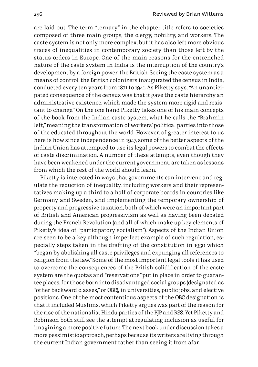are laid out. The term *"*ternary*"* in the chapter title refers to societies composed of three main groups, the clergy, nobility, and workers. The caste system is not only more complex, but it has also left more obvious traces of inequalities in contemporary society than those left by the status orders in Europe. One of the main reasons for the entrenched nature of the caste system in India is the interruption of the country's development by a foreign power, the British. Seeing the caste system as a means of control, the British colonizers inaugurated the census in India, conducted every ten years from 1871 to 1941. As Piketty says, *"*An unanticipated consequence of the census was that it gave the caste hierarchy an administrative existence, which made the system more rigid and resistant to change.*"* On the one hand Piketty takes one of his main concepts of the book from the Indian caste system, what he calls the *"*Brahmin left,*"* meaning the transformation of workers' political parties into those of the educated throughout the world. However, of greater interest to us here is how since independence in 1947, some of the better aspects of the Indian Union has attempted to use its legal powers to combat the effects of caste discrimination. A number of these attempts, even though they have been weakened under the current government, are taken as lessons from which the rest of the world should learn.

Piketty is interested in ways that governments can intervene and regulate the reduction of inequality, including workers and their representatives making up a third to a half of corporate boards in countries like Germany and Sweden, and implementing the temporary ownership of property and progressive taxation, both of which were an important part of British and American progressivism as well as having been debated during the French Revolution (and all of which make up key elements of Piketty's idea of *"*participatory socialism*"*). Aspects of the Indian Union are seen to be a key although imperfect example of such regulation, especially steps taken in the drafting of the constitution in 1950 which *"*began by abolishing all caste privileges and expunging all references to religion from the law.*"* Some of the most important legal tools it has used to overcome the consequences of the British solidification of the caste system are the quotas and *"*reservations*"* put in place in order to guarantee places, for those born into disadvantaged social groups (designated as *"*other backward classes,*"* or OBC), in universities, public jobs, and elective positions. One of the most contentious aspects of the OBC designation is that it included Muslims, which Piketty argues was part of the reason for the rise of the nationalist Hindu parties of the BJP and RSS. Yet Piketty and Robinson both still see the attempt at regulating inclusion as useful for imagining a more positive future. The next book under discussion takes a more pessimistic approach, perhaps because its writers are living through the current Indian government rather than seeing it from afar.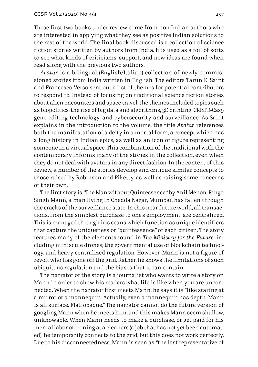These first two books under review come from non-Indian authors who are interested in applying what they see as positive Indian solutions to the rest of the world. The final book discussed is a collection of science fiction stories written by authors from India. It is used as a foil of sorts to see what kinds of criticisms, support, and new ideas are found when read along with the previous two authors.

*Avatar* is a bilingual (English/Italian) collection of newly commissioned stories from India written in English. The editors Tarun K. Saint and Francesco Verso sent out a list of themes for potential contributors to respond to. Instead of focusing on traditional science fiction stories about alien encounters and space travel, the themes included topics such as biopolitics, the rise of big data and algorithms, 3D printing, CRISPR-Cas9 gene editing technology, and cybersecurity and surveillance. As Saint explains in the introduction to the volume, the title *Avatar* references both the manifestation of a deity in a mortal form, a concept which has a long history in Indian epics, as well as an icon or figure representing someone in a virtual space. This combination of the traditional with the contemporary informs many of the stories in the collection, even when they do not deal with avatars in any direct fashion. In the context of this review, a number of the stories develop and critique similar concepts to those raised by Robinson and Piketty, as well as raising some concerns of their own.

The first story is *"*The Man without Quintessence,*"* by Anil Menon. Ringo Singh Mann, a man living in Chedda Nagar, Mumbai, has fallen through the cracks of the surveillance state. In this near-future world, all transactions, from the simplest purchase to one's employment, are centralized. This is managed through iris scans which function as unique identifiers that capture the uniqueness or *"*quintessence*"* of each citizen. The story features many of the elements found in *The Ministry for the Future,* including miniscule drones, the governmental use of blockchain technology, and heavy centralized regulation. However, Mann is not a figure of revolt who has gone off the grid. Rather, he shows the limitations of such ubiquitous regulation and the biases that it can contain.

The narrator of the story is a journalist who wants to write a story on Mann in order to show his readers what life is like when you are unconnected. When the narrator first meets Mann, he says it is *"*like staring at a mirror or a mannequin. Actually, even a mannequin has depth. Mann is all surface. Flat, opaque.*"* The narrator cannot do the future version of googling Mann when he meets him, and this makes Mann seem shallow, unknowable. When Mann needs to make a purchase, or get paid for his menial labor of ironing at a cleaners (a job that has not yet been automated), he temporarily connects to the grid, but this does not work perfectly. Due to his disconnectedness, Mann is seen as *"*the last representative of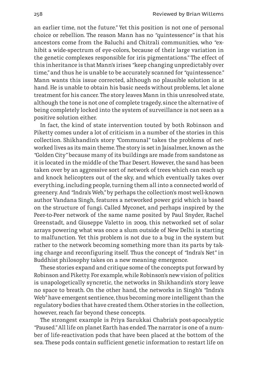an earlier time, not the future.*"* Yet this position is not one of personal choice or rebellion. The reason Mann has no *"*quintessence*"* is that his ancestors come from the Baluchi and Chitrali communities, who *"*exhibit a wide-spectrum of eye-colors, because of their large variation in the genetic complexes responsible for iris pigmentations.*"* The effect of this inheritance is that Mann's irises *"*keep changing unpredictably over time,*"* and thus he is unable to be accurately scanned for *"*quintessence.*"* Mann wants this issue corrected, although no plausible solution is at hand. He is unable to obtain his basic needs without problems, let alone treatment for his cancer. The story leaves Mann in this unresolved state, although the tone is not one of complete tragedy, since the alternative of being completely locked into the system of surveillance is not seen as a positive solution either.

In fact, the kind of state intervention touted by both Robinson and Piketty comes under a lot of criticism in a number of the stories in this collection. Shikhandin's story *"*Communal*"* takes the problems of networked lives as its main theme. The story is set in Jaisalmer, known as the *"*Golden City*"* because many of its buildings are made from sandstone as it is located in the middle of the Thar Desert. However, the sand has been taken over by an aggressive sort of network of trees which can reach up and knock helicopters out of the sky, and which eventually takes over everything, including people, turning them all into a connected world of greenery. And *"*Indra's Web,*"* by perhaps the collection's most well-known author Vandana Singh, features a networked power grid which is based on the structure of fungi. Called Myconet, and perhaps inspired by the Peer-to-Peer network of the same name posited by Paul Snyder, Rachel Greenstadt, and Giuseppe Valetto in 2009, this networked set of solar arrays powering what was once a slum outside of New Delhi is starting to malfunction. Yet this problem is not due to a bug in the system but rather to the network becoming something more than its parts by taking charge and reconfiguring itself. Thus the concept of *"*Indra's Net*"* in Buddhist philosophy takes on a new meaning: emergence.

These stories expand and critique some of the concepts put forward by Robinson and Piketty. For example, while Robinson's new vision of politics is unapologetically syncretic, the networks in Shikhandin's story leave no space to breath. On the other hand, the networks in Singh's *"*Indra's Web*"* have emergent sentience, thus becoming more intelligent than the regulatory bodies that have created them. Other stories in the collection, however, reach far beyond these concepts.

The strongest example is Priya Sarukkai Chabria's post-apocalyptic *"*Paused.*"* All life on planet Earth has ended. The narrator is one of a number of life-reactivation pods that have been placed at the bottom of the sea. These pods contain sufficient genetic information to restart life on